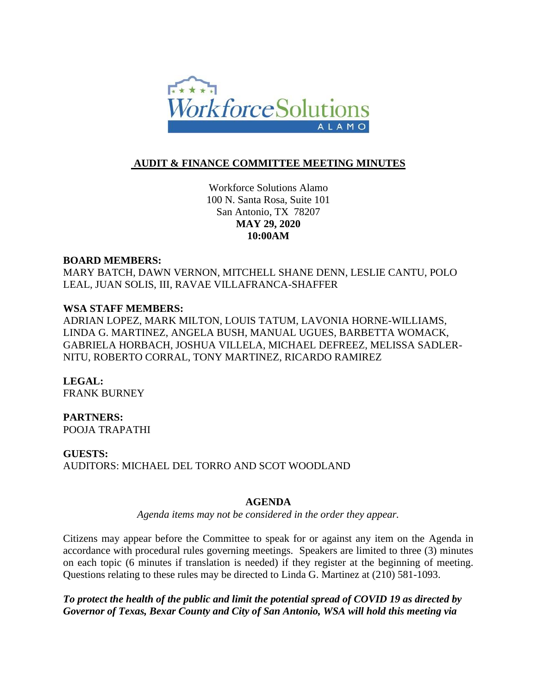

# **AUDIT & FINANCE COMMITTEE MEETING MINUTES**

Workforce Solutions Alamo 100 N. Santa Rosa, Suite 101 San Antonio, TX 78207 **MAY 29, 2020 10:00AM**

### **BOARD MEMBERS:**

MARY BATCH, DAWN VERNON, MITCHELL SHANE DENN, LESLIE CANTU, POLO LEAL, JUAN SOLIS, III, RAVAE VILLAFRANCA-SHAFFER

## **WSA STAFF MEMBERS:**

ADRIAN LOPEZ, MARK MILTON, LOUIS TATUM, LAVONIA HORNE-WILLIAMS, LINDA G. MARTINEZ, ANGELA BUSH, MANUAL UGUES, BARBETTA WOMACK, GABRIELA HORBACH, JOSHUA VILLELA, MICHAEL DEFREEZ, MELISSA SADLER-NITU, ROBERTO CORRAL, TONY MARTINEZ, RICARDO RAMIREZ

**LEGAL:** FRANK BURNEY

# **PARTNERS:**

POOJA TRAPATHI

**GUESTS:**

AUDITORS: MICHAEL DEL TORRO AND SCOT WOODLAND

## **AGENDA**

*Agenda items may not be considered in the order they appear.*

Citizens may appear before the Committee to speak for or against any item on the Agenda in accordance with procedural rules governing meetings. Speakers are limited to three (3) minutes on each topic (6 minutes if translation is needed) if they register at the beginning of meeting. Questions relating to these rules may be directed to Linda G. Martinez at (210) 581-1093.

*To protect the health of the public and limit the potential spread of COVID 19 as directed by Governor of Texas, Bexar County and City of San Antonio, WSA will hold this meeting via*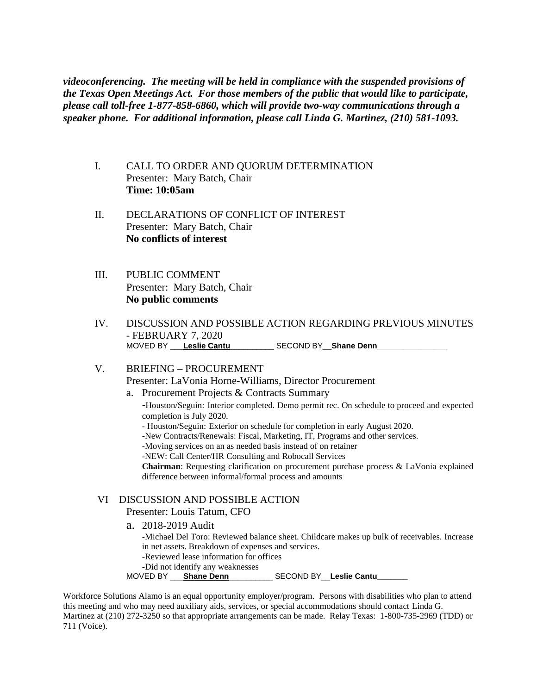*videoconferencing. The meeting will be held in compliance with the suspended provisions of the Texas Open Meetings Act. For those members of the public that would like to participate, please call toll-free 1-877-858-6860, which will provide two-way communications through a speaker phone. For additional information, please call Linda G. Martinez, (210) 581-1093.* 

- I. CALL TO ORDER AND QUORUM DETERMINATION Presenter: Mary Batch, Chair **Time: 10:05am**
- II. DECLARATIONS OF CONFLICT OF INTEREST Presenter: Mary Batch, Chair **No conflicts of interest**
- III. PUBLIC COMMENT Presenter: Mary Batch, Chair **No public comments**
- IV. DISCUSSION AND POSSIBLE ACTION REGARDING PREVIOUS MINUTES - FEBRUARY 7, 2020 MOVED BY Leslie Cantu \_\_\_\_\_\_\_\_\_\_ SECOND BY \_\_ Shane Denn\_\_\_\_\_\_\_\_\_\_\_\_\_\_\_\_\_\_\_\_\_\_\_\_

# V. BRIEFING – PROCUREMENT Presenter: LaVonia Horne-Williams, Director Procurement

- a. Procurement Projects & Contracts Summary
	- -Houston/Seguin: Interior completed. Demo permit rec. On schedule to proceed and expected completion is July 2020.
	- Houston/Seguin: Exterior on schedule for completion in early August 2020.
	- -New Contracts/Renewals: Fiscal, Marketing, IT, Programs and other services.
	- -Moving services on an as needed basis instead of on retainer
	- -NEW: Call Center/HR Consulting and Robocall Services
	- **Chairman**: Requesting clarification on procurement purchase process & LaVonia explained difference between informal/formal process and amounts

## VI DISCUSSION AND POSSIBLE ACTION

### Presenter: Louis Tatum, CFO

a. 2018-2019 Audit

-Michael Del Toro: Reviewed balance sheet. Childcare makes up bulk of receivables. Increase in net assets. Breakdown of expenses and services.

- -Reviewed lease information for offices
- -Did not identify any weaknesses
- MOVED BY \_\_\_**Shane Denn**\_\_\_\_\_\_\_\_\_\_ SECOND BY\_\_**Leslie Cantu\_\_\_\_\_\_\_**

Workforce Solutions Alamo is an equal opportunity employer/program. Persons with disabilities who plan to attend this meeting and who may need auxiliary aids, services, or special accommodations should contact Linda G. Martinez at (210) 272-3250 so that appropriate arrangements can be made. Relay Texas: 1-800-735-2969 (TDD) or 711 (Voice).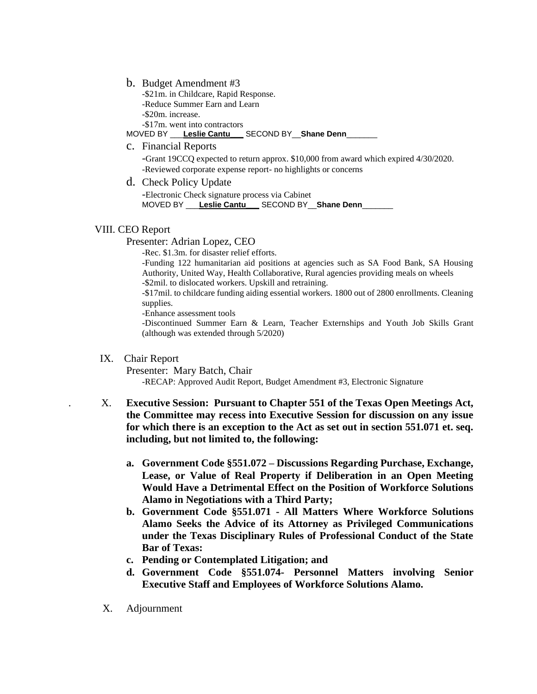b. Budget Amendment #3

-\$21m. in Childcare, Rapid Response. -Reduce Summer Earn and Learn -\$20m. increase. -\$17m. went into contractors

MOVED BY \_\_\_**Leslie Cantu\_\_\_** SECOND BY\_\_**Shane Denn**\_\_\_\_\_\_\_

c. Financial Reports

-Grant 19CCQ expected to return approx. \$10,000 from award which expired 4/30/2020. -Reviewed corporate expense report- no highlights or concerns

d. Check Policy Update

-Electronic Check signature process via Cabinet MOVED BY \_\_\_**Leslie Cantu\_\_\_** SECOND BY\_\_**Shane Denn**\_\_\_\_\_\_\_

#### VIII. CEO Report

Presenter: Adrian Lopez, CEO

-Rec. \$1.3m. for disaster relief efforts.

-Funding 122 humanitarian aid positions at agencies such as SA Food Bank, SA Housing Authority, United Way, Health Collaborative, Rural agencies providing meals on wheels -\$2mil. to dislocated workers. Upskill and retraining.

-\$17mil. to childcare funding aiding essential workers. 1800 out of 2800 enrollments. Cleaning supplies.

-Enhance assessment tools

-Discontinued Summer Earn & Learn, Teacher Externships and Youth Job Skills Grant (although was extended through 5/2020)

### IX. Chair Report

Presenter: Mary Batch, Chair

-RECAP: Approved Audit Report, Budget Amendment #3, Electronic Signature

- . X. **Executive Session: Pursuant to Chapter 551 of the Texas Open Meetings Act, the Committee may recess into Executive Session for discussion on any issue for which there is an exception to the Act as set out in section 551.071 et. seq. including, but not limited to, the following:** 
	- **a. Government Code §551.072 – Discussions Regarding Purchase, Exchange, Lease, or Value of Real Property if Deliberation in an Open Meeting Would Have a Detrimental Effect on the Position of Workforce Solutions Alamo in Negotiations with a Third Party;**
	- **b. Government Code §551.071 - All Matters Where Workforce Solutions Alamo Seeks the Advice of its Attorney as Privileged Communications under the Texas Disciplinary Rules of Professional Conduct of the State Bar of Texas:**
	- **c. Pending or Contemplated Litigation; and**
	- **d. Government Code §551.074- Personnel Matters involving Senior Executive Staff and Employees of Workforce Solutions Alamo.**
- X. Adjournment